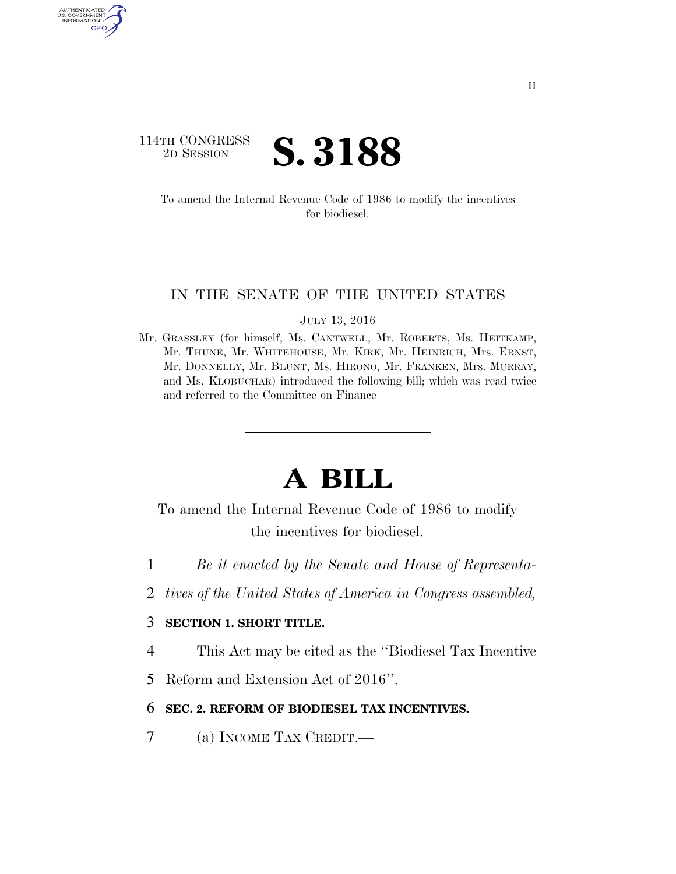# 114TH CONGRESS <sup>2D SESSION</sup> **S. 3188**

U.S. GOVERNMENT GPO

> To amend the Internal Revenue Code of 1986 to modify the incentives for biodiesel.

#### IN THE SENATE OF THE UNITED STATES

JULY 13, 2016

Mr. GRASSLEY (for himself, Ms. CANTWELL, Mr. ROBERTS, Ms. HEITKAMP, Mr. THUNE, Mr. WHITEHOUSE, Mr. KIRK, Mr. HEINRICH, Mrs. ERNST, Mr. DONNELLY, Mr. BLUNT, Ms. HIRONO, Mr. FRANKEN, Mrs. MURRAY, and Ms. KLOBUCHAR) introduced the following bill; which was read twice and referred to the Committee on Finance

# **A BILL**

To amend the Internal Revenue Code of 1986 to modify the incentives for biodiesel.

- 1 *Be it enacted by the Senate and House of Representa-*
- 2 *tives of the United States of America in Congress assembled,*

## 3 **SECTION 1. SHORT TITLE.**

- 4 This Act may be cited as the ''Biodiesel Tax Incentive
- 5 Reform and Extension Act of 2016''.

### 6 **SEC. 2. REFORM OF BIODIESEL TAX INCENTIVES.**

7 (a) INCOME TAX CREDIT.—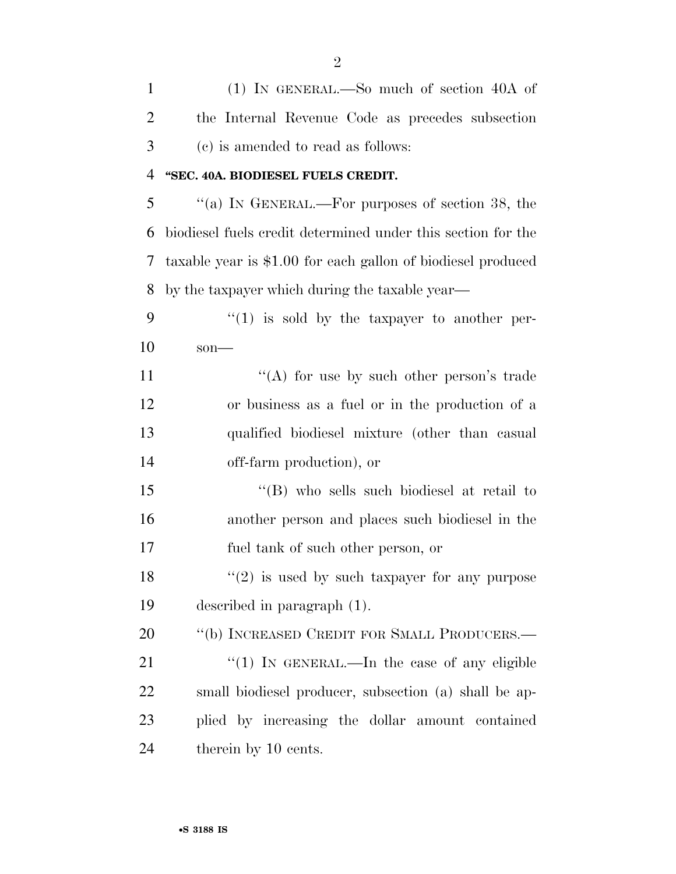| $\mathbf{1}$   | (1) IN GENERAL.—So much of section 40A of                    |
|----------------|--------------------------------------------------------------|
| $\overline{2}$ | the Internal Revenue Code as precedes subsection             |
| 3              | (c) is amended to read as follows:                           |
| 4              | "SEC. 40A. BIODIESEL FUELS CREDIT.                           |
| 5              | "(a) IN GENERAL.—For purposes of section 38, the             |
| 6              | biodiesel fuels credit determined under this section for the |
| 7              | taxable year is \$1.00 for each gallon of biodiesel produced |
| 8              | by the taxpayer which during the taxable year—               |
| 9              | $\lq(1)$ is sold by the taxpayer to another per-             |
| 10             | $son$ —                                                      |
| 11             | "(A) for use by such other person's trade                    |
| 12             | or business as a fuel or in the production of a              |
| 13             | qualified biodiesel mixture (other than casual               |
| 14             | off-farm production), or                                     |
| 15             | "(B) who sells such biodiesel at retail to                   |
| 16             | another person and places such biodiesel in the              |
| 17             | fuel tank of such other person, or                           |
| 18             | $"(2)$ is used by such taxpayer for any purpose              |
| 19             | described in paragraph (1).                                  |
| 20             | "(b) INCREASED CREDIT FOR SMALL PRODUCERS.—                  |
| 21             | "(1) IN GENERAL.—In the case of any eligible                 |
| 22             | small biodiesel producer, subsection (a) shall be ap-        |
| 23             | plied by increasing the dollar amount contained              |
| 24             | therein by 10 cents.                                         |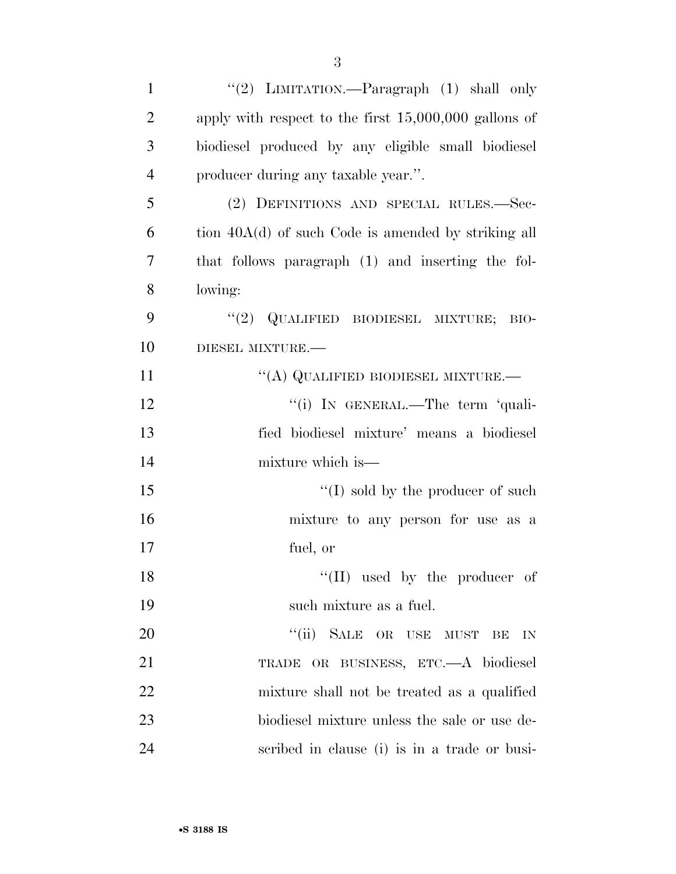| $\mathbf{1}$   | "(2) LIMITATION.—Paragraph (1) shall only               |
|----------------|---------------------------------------------------------|
| $\overline{2}$ | apply with respect to the first $15,000,000$ gallons of |
| 3              | biodiesel produced by any eligible small biodiesel      |
| $\overline{4}$ | producer during any taxable year.".                     |
| 5              | (2) DEFINITIONS AND SPECIAL RULES.-Sec-                 |
| 6              | tion 40A(d) of such Code is amended by striking all     |
| 7              | that follows paragraph (1) and inserting the fol-       |
| 8              | lowing:                                                 |
| 9              | $``(2)$ QUALIFIED BIODIESEL MIXTURE;<br>BIO-            |
| 10             | DIESEL MIXTURE.                                         |
| 11             | "(A) QUALIFIED BIODIESEL MIXTURE.—                      |
| 12             | "(i) IN GENERAL.—The term 'quali-                       |
| 13             | fied biodiesel mixture' means a biodiesel               |
| 14             | mixture which is—                                       |
| 15             | $\lq\lq$ (I) sold by the producer of such               |
| 16             | mixture to any person for use as a                      |
| 17             | fuel, or                                                |
| 18             | "(II) used by the producer of                           |
| 19             | such mixture as a fuel.                                 |
| 20             | "(ii) SALE OR USE MUST<br>BE<br>IN                      |
| 21             | TRADE OR BUSINESS, ETC.-A biodiesel                     |
| <u>22</u>      | mixture shall not be treated as a qualified             |
| 23             | biodiesel mixture unless the sale or use de-            |
| 24             | scribed in clause (i) is in a trade or busi-            |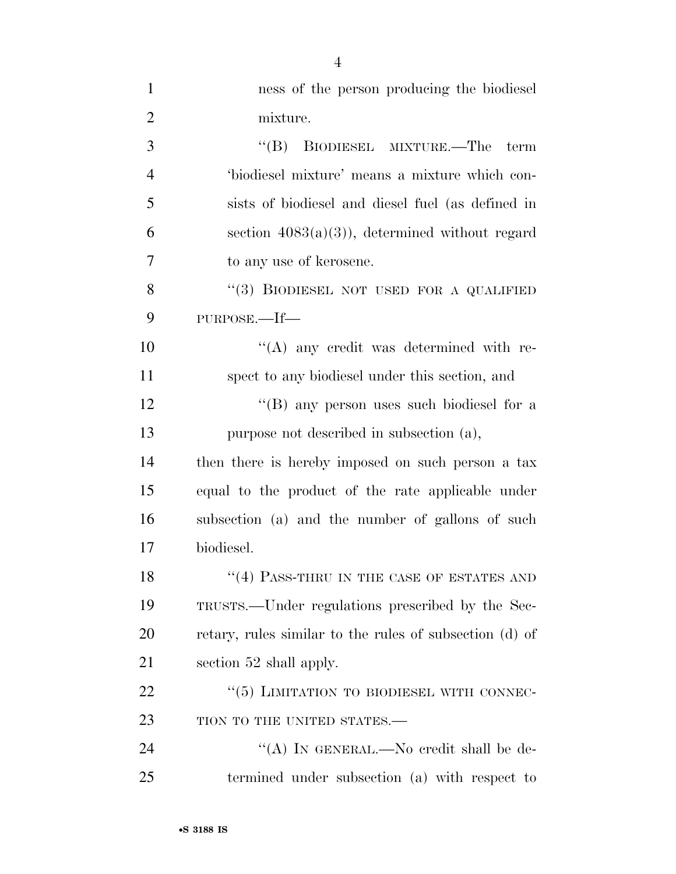| $\mathbf{1}$   | ness of the person producing the biodiesel              |
|----------------|---------------------------------------------------------|
| $\overline{2}$ | mixture.                                                |
| 3              | "(B) BIODIESEL MIXTURE.—The<br>term                     |
| $\overline{4}$ | 'biodiesel mixture' means a mixture which con-          |
| 5              | sists of biodiesel and diesel fuel (as defined in       |
| 6              | section $4083(a)(3)$ , determined without regard        |
| 7              | to any use of kerosene.                                 |
| 8              | "(3) BIODIESEL NOT USED FOR A QUALIFIED                 |
| 9              | PURPOSE.—If—                                            |
| 10             | $\lq\lq$ any credit was determined with re-             |
| 11             | spect to any biodiesel under this section, and          |
| 12             | "(B) any person uses such biodiesel for a               |
| 13             | purpose not described in subsection (a),                |
| 14             | then there is hereby imposed on such person a tax       |
| 15             | equal to the product of the rate applicable under       |
| 16             | subsection (a) and the number of gallons of such        |
| 17             | biodiesel.                                              |
| 18             | $``(4)$ PASS-THRU IN THE CASE OF ESTATES AND            |
| 19             | TRUSTS.—Under regulations prescribed by the Sec-        |
| 20             | retary, rules similar to the rules of subsection (d) of |
| 21             | section 52 shall apply.                                 |
| 22             | "(5) LIMITATION TO BIODIESEL WITH CONNEC-               |
| 23             | TION TO THE UNITED STATES.-                             |
| 24             | "(A) IN GENERAL.—No credit shall be de-                 |
| 25             | termined under subsection (a) with respect to           |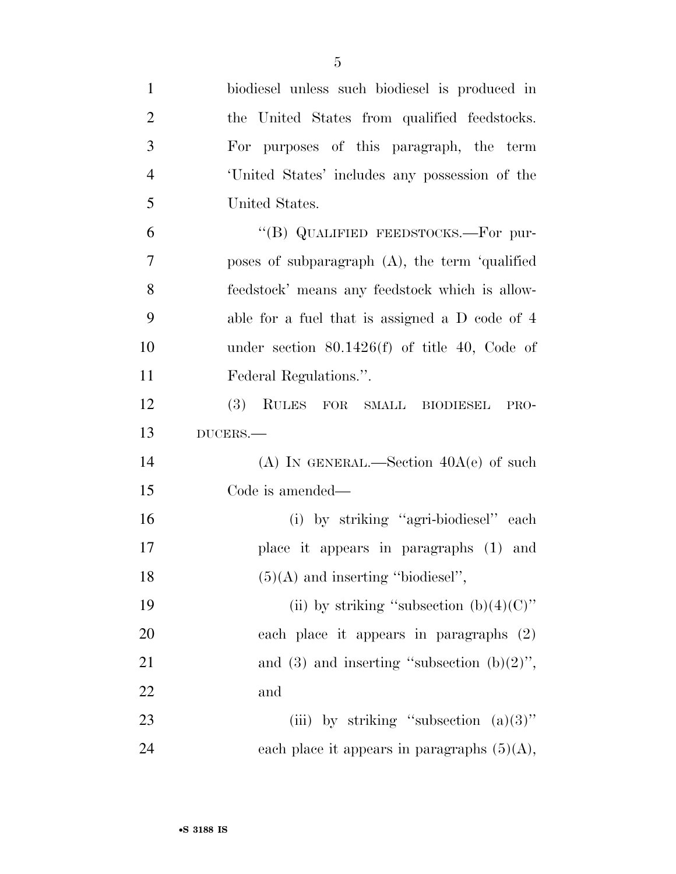| $\mathbf{1}$   | biodiesel unless such biodiesel is produced in    |
|----------------|---------------------------------------------------|
| $\overline{2}$ | the United States from qualified feedstocks.      |
| 3              | For purposes of this paragraph, the term          |
| $\overline{4}$ | United States' includes any possession of the     |
| 5              | United States.                                    |
| 6              | "(B) QUALIFIED FEEDSTOCKS.—For pur-               |
| 7              | poses of subparagraph $(A)$ , the term 'qualified |
| 8              | feedstock' means any feedstock which is allow-    |
| 9              | able for a fuel that is assigned a D code of 4    |
| 10             | under section $80.1426(f)$ of title 40, Code of   |
| 11             | Federal Regulations.".                            |
| 12             | <b>(3)</b><br>RULES FOR SMALL BIODIESEL<br>PRO-   |
|                |                                                   |
| 13             | $DUCERS$ .                                        |
| 14             | (A) IN GENERAL.—Section $40A(e)$ of such          |
| 15             | Code is amended—                                  |
| 16             | (i) by striking "agri-biodiesel" each             |
| 17             | place it appears in paragraphs (1) and            |
| 18             | $(5)(A)$ and inserting "biodiesel",               |
| 19             | (ii) by striking "subsection $(b)(4)(C)$ "        |
| 20             | each place it appears in paragraphs (2)           |
| 21             | and (3) and inserting "subsection $(b)(2)$ ",     |
| 22             | and                                               |
| 23             | (iii) by striking "subsection $(a)(3)$ "          |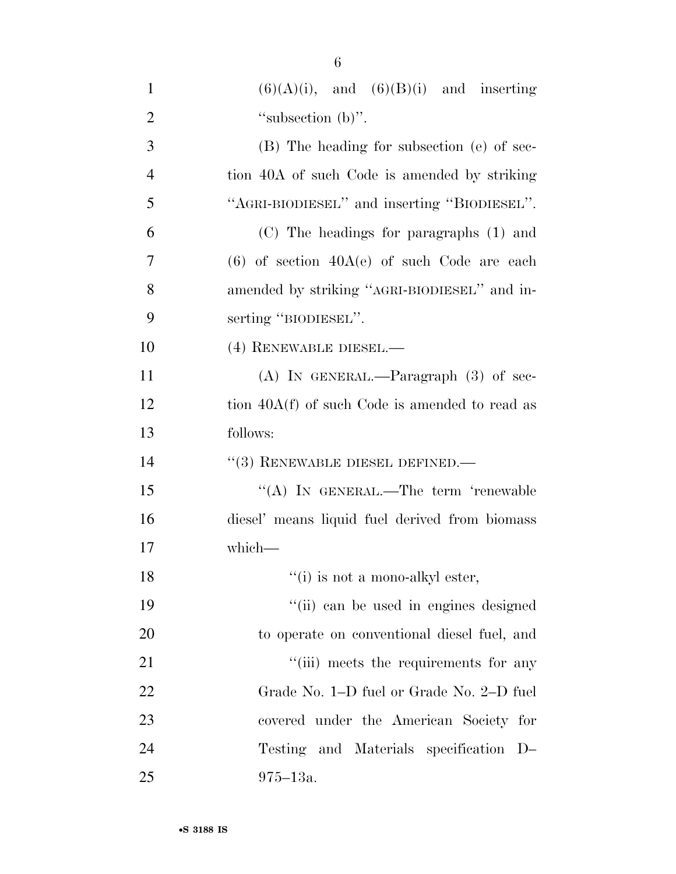| $\mathbf{1}$   | $(6)(A)(i)$ , and $(6)(B)(i)$ and inserting      |
|----------------|--------------------------------------------------|
| $\overline{2}$ | "subsection $(b)$ ".                             |
| 3              | (B) The heading for subsection (e) of sec-       |
| $\overline{4}$ | tion 40A of such Code is amended by striking     |
| 5              | "AGRI-BIODIESEL" and inserting "BIODIESEL".      |
| 6              | (C) The headings for paragraphs (1) and          |
| 7              | $(6)$ of section $40A(e)$ of such Code are each  |
| 8              | amended by striking "AGRI-BIODIESEL" and in-     |
| 9              | serting "BIODIESEL".                             |
| 10             | (4) RENEWABLE DIESEL.-                           |
| 11             | $(A)$ In GENERAL.—Paragraph $(3)$ of sec-        |
| 12             | tion $40A(f)$ of such Code is amended to read as |
| 13             | follows:                                         |
| 14             | $(3)$ RENEWABLE DIESEL DEFINED.—                 |
| 15             | "(A) IN GENERAL.—The term 'renewable             |
| 16             | diesel' means liquid fuel derived from biomass   |
| 17             | which-                                           |
| 18             | $``(i)$ is not a mono-alkyl ester,               |
| 19             | "(ii) can be used in engines designed            |
| 20             | to operate on conventional diesel fuel, and      |
| 21             | "(iii) meets the requirements for any            |
| 22             | Grade No. 1–D fuel or Grade No. 2–D fuel         |
| 23             | covered under the American Society for           |
| 24             | Testing and Materials specification D-           |
| 25             | $975 - 13a.$                                     |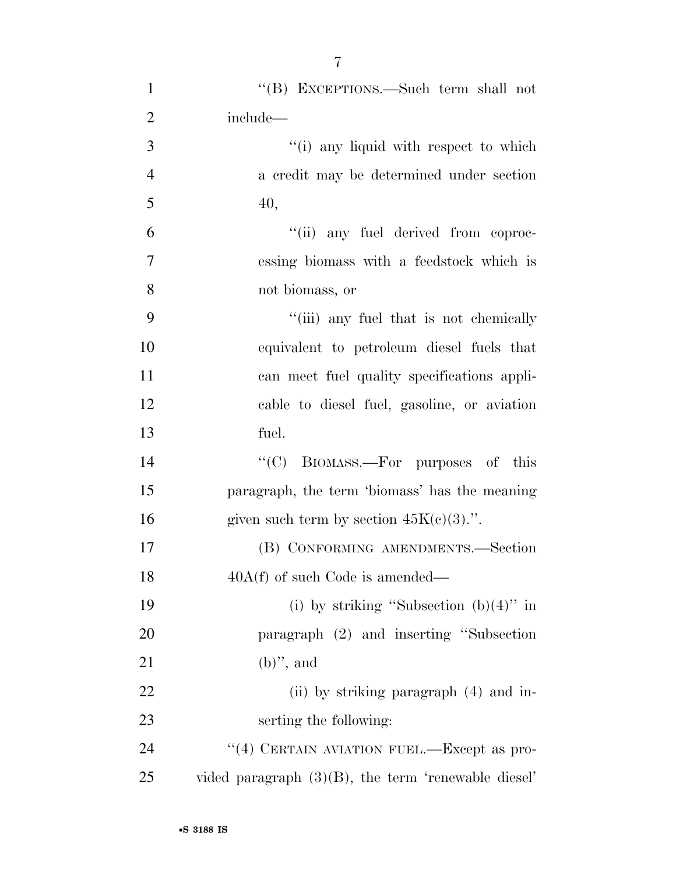| $\mathbf{1}$   | "(B) EXCEPTIONS.—Such term shall not                   |
|----------------|--------------------------------------------------------|
| $\overline{2}$ | include—                                               |
| 3              | "(i) any liquid with respect to which                  |
| $\overline{4}$ | a credit may be determined under section               |
| 5              | 40,                                                    |
| 6              | "(ii) any fuel derived from coproc-                    |
| $\tau$         | essing biomass with a feedstock which is               |
| 8              | not biomass, or                                        |
| 9              | "(iii) any fuel that is not chemically                 |
| 10             | equivalent to petroleum diesel fuels that              |
| 11             | can meet fuel quality specifications appli-            |
| 12             | cable to diesel fuel, gasoline, or aviation            |
| 13             | fuel.                                                  |
| 14             | "(C) BIOMASS.—For purposes of this                     |
| 15             | paragraph, the term 'biomass' has the meaning          |
| 16             | given such term by section $45K(c)(3)$ .".             |
| 17             | (B) CONFORMING AMENDMENTS.-Section                     |
| 18             | $40A(f)$ of such Code is amended—                      |
| 19             | (i) by striking "Subsection $(b)(4)$ " in              |
| 20             | paragraph (2) and inserting "Subsection                |
| 21             | $(b)$ ", and                                           |
| 22             | (ii) by striking paragraph (4) and in-                 |
| 23             | serting the following:                                 |
| 24             | "(4) CERTAIN AVIATION FUEL.—Except as pro-             |
| 25             | vided paragraph $(3)(B)$ , the term 'renewable diesel' |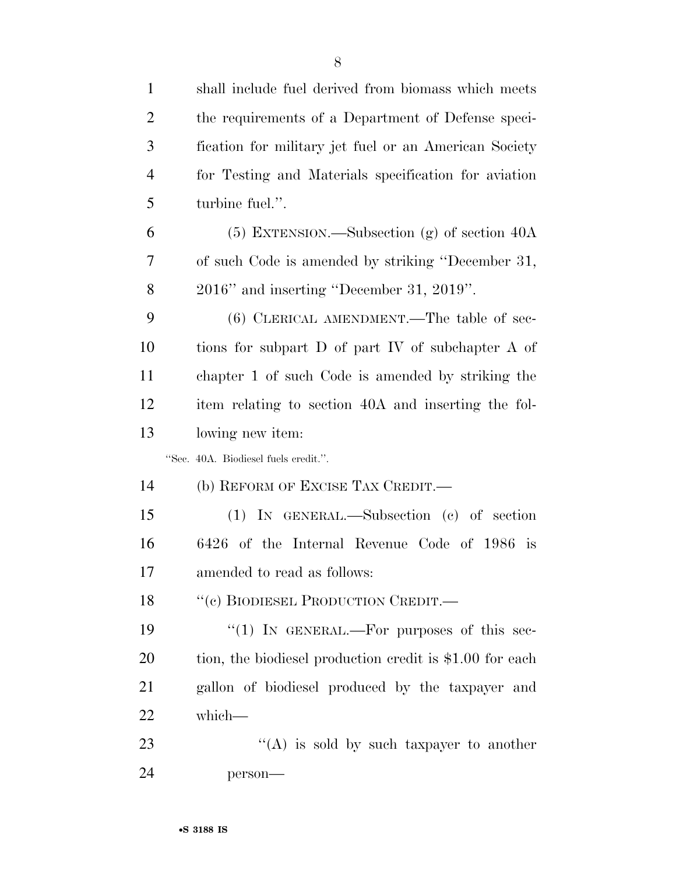| $\mathbf{1}$   | shall include fuel derived from biomass which meets      |
|----------------|----------------------------------------------------------|
| $\overline{2}$ | the requirements of a Department of Defense speci-       |
| 3              | fication for military jet fuel or an American Society    |
| $\overline{4}$ | for Testing and Materials specification for aviation     |
| 5              | turbine fuel.".                                          |
| 6              | $(5)$ EXTENSION.—Subsection $(g)$ of section 40A         |
| 7              | of such Code is amended by striking "December 31,        |
| 8              | $2016"$ and inserting "December 31, 2019".               |
| 9              | $(6)$ CLERICAL AMENDMENT.—The table of sec-              |
| 10             | tions for subpart D of part IV of subchapter A of        |
| 11             | chapter 1 of such Code is amended by striking the        |
| 12             | item relating to section 40A and inserting the fol-      |
| 13             | lowing new item:                                         |
|                | "Sec. 40A. Biodiesel fuels credit.".                     |
| 14             | (b) REFORM OF EXCISE TAX CREDIT.—                        |
| 15             | $(1)$ In GENERAL.—Subsection $(e)$ of section            |
| 16             | 6426 of the Internal Revenue Code of 1986 is             |
| 17             | amended to read as follows:                              |
| 18             | "(c) BIODIESEL PRODUCTION CREDIT.—                       |
| 19             | "(1) IN GENERAL.—For purposes of this sec-               |
| 20             | tion, the biodiesel production credit is \$1.00 for each |
| 21             | gallon of biodiesel produced by the taxpayer and         |
| 22             | which-                                                   |
| 23             | "(A) is sold by such taxpayer to another                 |
| 24             | person-                                                  |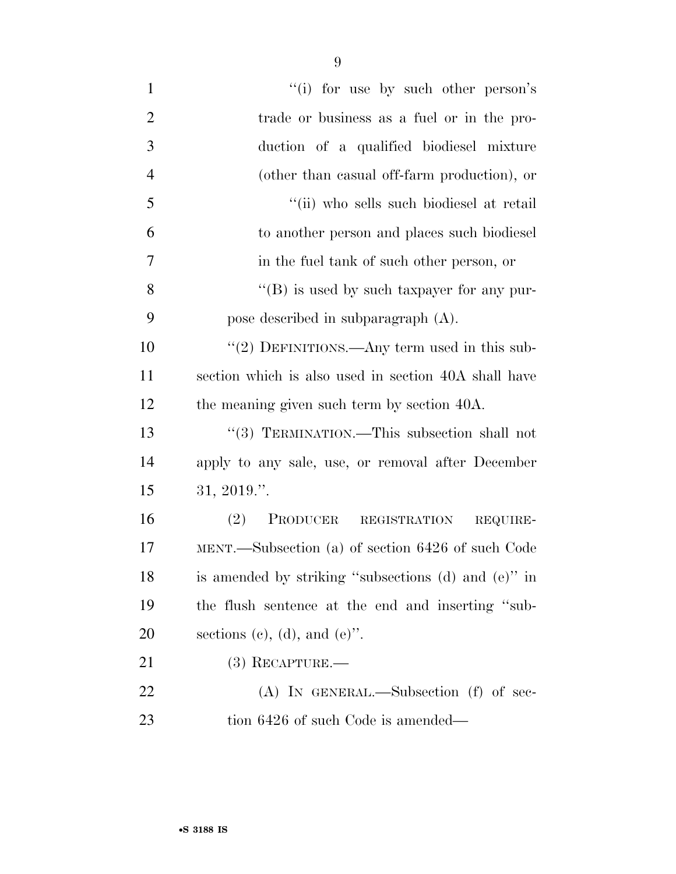| $\mathbf{1}$   | "(i) for use by such other person's                  |
|----------------|------------------------------------------------------|
| $\overline{2}$ | trade or business as a fuel or in the pro-           |
| 3              | duction of a qualified biodiesel mixture             |
| $\overline{4}$ | (other than casual off-farm production), or          |
| 5              | "(ii) who sells such biodiesel at retail             |
| 6              | to another person and places such biodiesel          |
| 7              | in the fuel tank of such other person, or            |
| 8              | $\lq\lq (B)$ is used by such taxpayer for any pur-   |
| 9              | pose described in subparagraph (A).                  |
| 10             | "(2) DEFINITIONS.—Any term used in this sub-         |
| 11             | section which is also used in section 40A shall have |
| 12             | the meaning given such term by section 40A.          |
| 13             | "(3) TERMINATION.—This subsection shall not          |
| 14             | apply to any sale, use, or removal after December    |
| 15             | $31, 2019.$ ".                                       |
| 16             | PRODUCER REGISTRATION<br>(2)<br>REQUIRE-             |
| 17             | MENT.—Subsection (a) of section 6426 of such Code    |
| 18             | is amended by striking "subsections (d) and (e)" in  |
| 19             | the flush sentence at the end and inserting "sub-    |
| 20             | sections (c), (d), and (e)".                         |
| 21             | $(3)$ RECAPTURE.—                                    |
| 22             | $(A)$ In GENERAL.—Subsection (f) of sec-             |
| 23             | tion 6426 of such Code is amended—                   |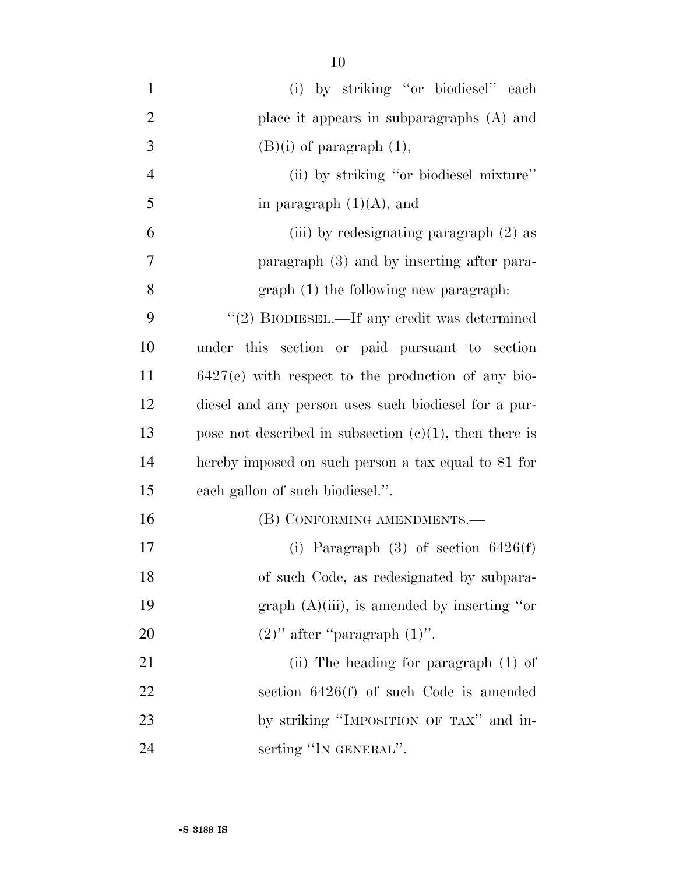| $\mathbf{1}$   | (i) by striking "or biodiesel" each                       |
|----------------|-----------------------------------------------------------|
| $\overline{2}$ | place it appears in subparagraphs (A) and                 |
| 3              | $(B)(i)$ of paragraph $(1)$ ,                             |
| 4              | (ii) by striking "or biodiesel mixture"                   |
| 5              | in paragraph $(1)(A)$ , and                               |
| 6              | (iii) by redesignating paragraph (2) as                   |
| 7              | paragraph (3) and by inserting after para-                |
| 8              | graph (1) the following new paragraph.                    |
| 9              | "(2) BIODIESEL.—If any credit was determined              |
| 10             | under this section or paid pursuant to section            |
| 11             | $6427(e)$ with respect to the production of any bio-      |
| 12             | diesel and any person uses such biodiesel for a pur-      |
| 13             | pose not described in subsection $(c)(1)$ , then there is |
| 14             | hereby imposed on such person a tax equal to \$1 for      |
| 15             | each gallon of such biodiesel.".                          |
| 16             | (B) CONFORMING AMENDMENTS.—                               |
| 17             | (i) Paragraph $(3)$ of section $6426(f)$                  |
| 18             | of such Code, as redesignated by subpara-                 |
| 19             | graph $(A)(iii)$ , is amended by inserting "or            |
| 20             | $(2)$ " after "paragraph $(1)$ ".                         |
| 21             | (ii) The heading for paragraph $(1)$ of                   |
| 22             | section $6426(f)$ of such Code is amended                 |
| 23             | by striking "IMPOSITION OF TAX" and in-                   |
| 24             | serting "IN GENERAL".                                     |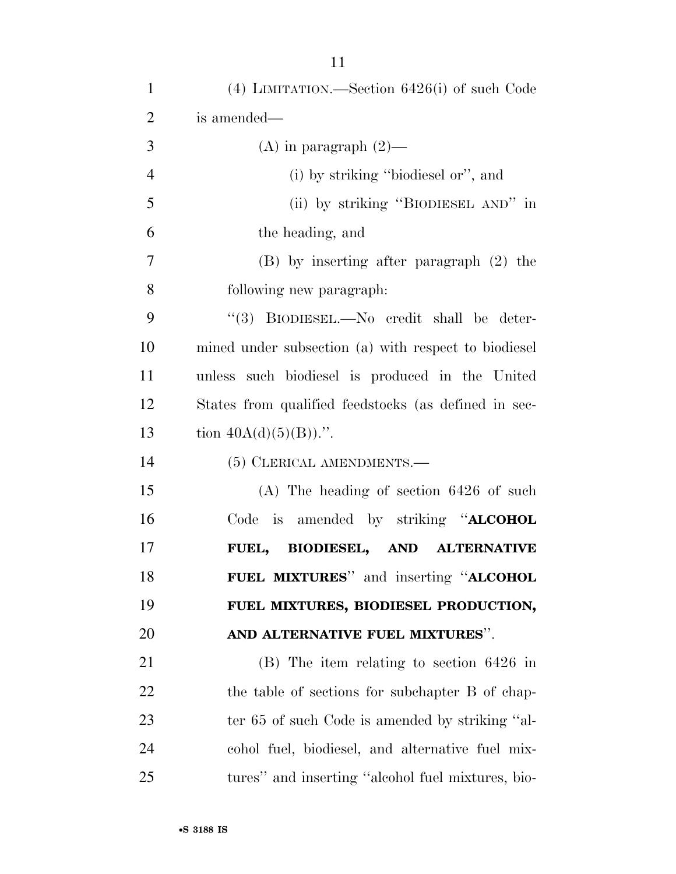| $\mathbf{1}$   | $(4)$ LIMITATION.—Section 6426(i) of such Code       |
|----------------|------------------------------------------------------|
| $\overline{2}$ | is amended—                                          |
| 3              | $(A)$ in paragraph $(2)$ —                           |
| $\overline{4}$ | (i) by striking "biodiesel or", and                  |
| 5              | (ii) by striking "BIODIESEL AND" in                  |
| 6              | the heading, and                                     |
| 7              | $(B)$ by inserting after paragraph $(2)$ the         |
| 8              | following new paragraph:                             |
| 9              | "(3) BIODIESEL.—No credit shall be deter-            |
| 10             | mined under subsection (a) with respect to biodiesel |
| 11             | unless such biodiesel is produced in the United      |
| 12             | States from qualified feedstocks (as defined in sec- |
| 13             | tion $40A(d)(5)(B)$ .".                              |
| 14             | (5) CLERICAL AMENDMENTS.—                            |
| 15             | $(A)$ The heading of section 6426 of such            |
| 16             | Code is amended by striking " <b>ALCOHOL</b>         |
| 17             | <b>BIODIESEL, AND ALTERNATIVE</b><br>FUEL,           |
| 18             | FUEL MIXTURES" and inserting "ALCOHOL                |
| 19             | FUEL MIXTURES, BIODIESEL PRODUCTION,                 |
| 20             | AND ALTERNATIVE FUEL MIXTURES".                      |
| 21             | $(B)$ The item relating to section 6426 in           |
| 22             | the table of sections for subchapter B of chap-      |
| 23             | ter 65 of such Code is amended by striking "al-      |
| 24             | cohol fuel, biodiesel, and alternative fuel mix-     |
| 25             | tures" and inserting "alcohol fuel mixtures, bio-    |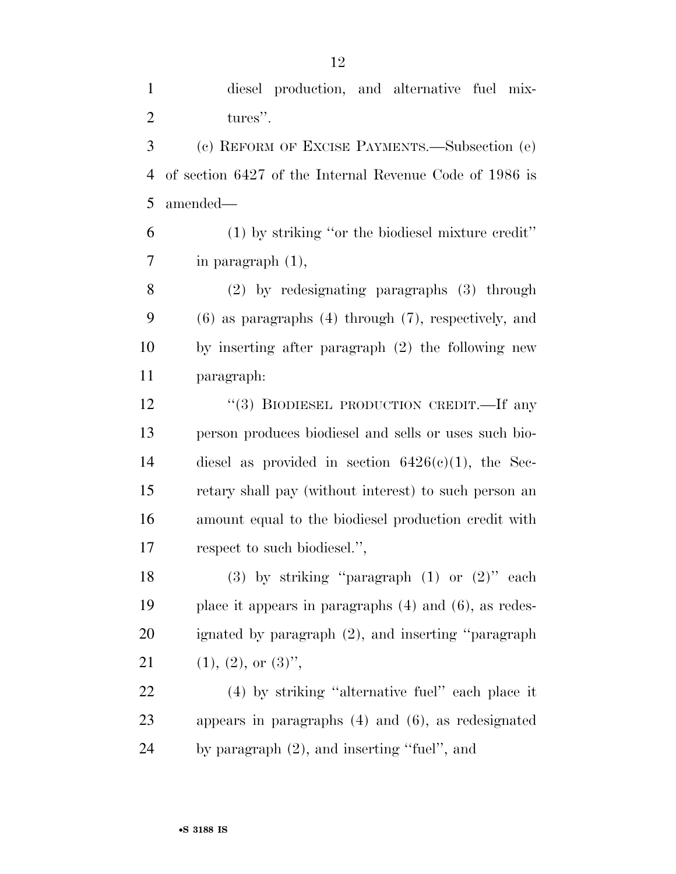diesel production, and alternative fuel mix-2 tures". (c) REFORM OF EXCISE PAYMENTS.—Subsection (e) of section 6427 of the Internal Revenue Code of 1986 is amended— (1) by striking ''or the biodiesel mixture credit'' in paragraph (1), (2) by redesignating paragraphs (3) through (6) as paragraphs (4) through (7), respectively, and by inserting after paragraph (2) the following new paragraph: 12 "(3) BIODIESEL PRODUCTION CREDIT.—If any person produces biodiesel and sells or uses such bio- diesel as provided in section 6426(c)(1), the Sec- retary shall pay (without interest) to such person an amount equal to the biodiesel production credit with respect to such biodiesel.'', 18 (3) by striking "paragraph  $(1)$  or  $(2)$ " each place it appears in paragraphs (4) and (6), as redes- ignated by paragraph (2), and inserting ''paragraph 21 (1), (2), or  $(3)$ ", (4) by striking ''alternative fuel'' each place it appears in paragraphs (4) and (6), as redesignated by paragraph (2), and inserting ''fuel'', and